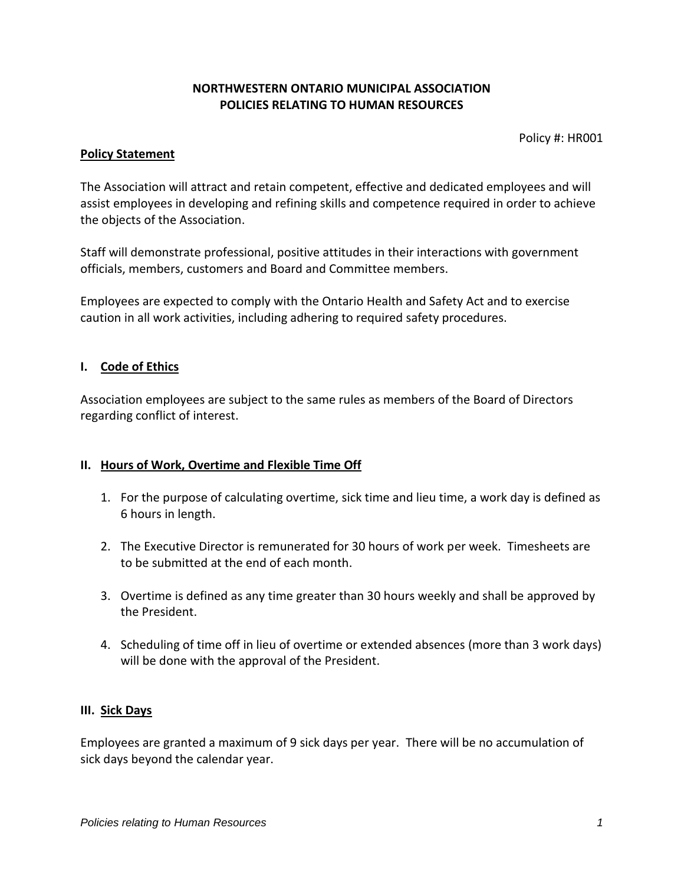## **NORTHWESTERN ONTARIO MUNICIPAL ASSOCIATION POLICIES RELATING TO HUMAN RESOURCES**

Policy #: HR001

#### **Policy Statement**

The Association will attract and retain competent, effective and dedicated employees and will assist employees in developing and refining skills and competence required in order to achieve the objects of the Association.

Staff will demonstrate professional, positive attitudes in their interactions with government officials, members, customers and Board and Committee members.

Employees are expected to comply with the Ontario Health and Safety Act and to exercise caution in all work activities, including adhering to required safety procedures.

#### **I. Code of Ethics**

Association employees are subject to the same rules as members of the Board of Directors regarding conflict of interest.

### **II. Hours of Work, Overtime and Flexible Time Off**

- 1. For the purpose of calculating overtime, sick time and lieu time, a work day is defined as 6 hours in length.
- 2. The Executive Director is remunerated for 30 hours of work per week. Timesheets are to be submitted at the end of each month.
- 3. Overtime is defined as any time greater than 30 hours weekly and shall be approved by the President.
- 4. Scheduling of time off in lieu of overtime or extended absences (more than 3 work days) will be done with the approval of the President.

### **III. Sick Days**

Employees are granted a maximum of 9 sick days per year. There will be no accumulation of sick days beyond the calendar year.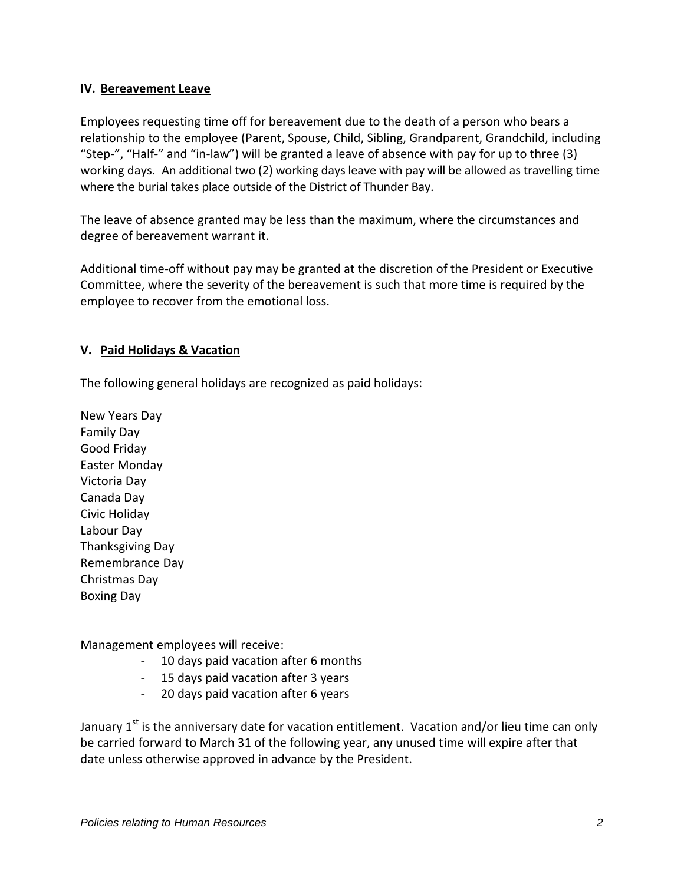### **IV. Bereavement Leave**

Employees requesting time off for bereavement due to the death of a person who bears a relationship to the employee (Parent, Spouse, Child, Sibling, Grandparent, Grandchild, including "Step-", "Half-" and "in-law") will be granted a leave of absence with pay for up to three (3) working days. An additional two (2) working days leave with pay will be allowed as travelling time where the burial takes place outside of the District of Thunder Bay.

The leave of absence granted may be less than the maximum, where the circumstances and degree of bereavement warrant it.

Additional time-off without pay may be granted at the discretion of the President or Executive Committee, where the severity of the bereavement is such that more time is required by the employee to recover from the emotional loss.

### **V. Paid Holidays & Vacation**

The following general holidays are recognized as paid holidays:

New Years Day Family Day Good Friday Easter Monday Victoria Day Canada Day Civic Holiday Labour Day Thanksgiving Day Remembrance Day Christmas Day Boxing Day

Management employees will receive:

- 10 days paid vacation after 6 months
- 15 days paid vacation after 3 years
- 20 days paid vacation after 6 years

January  $1<sup>st</sup>$  is the anniversary date for vacation entitlement. Vacation and/or lieu time can only be carried forward to March 31 of the following year, any unused time will expire after that date unless otherwise approved in advance by the President.